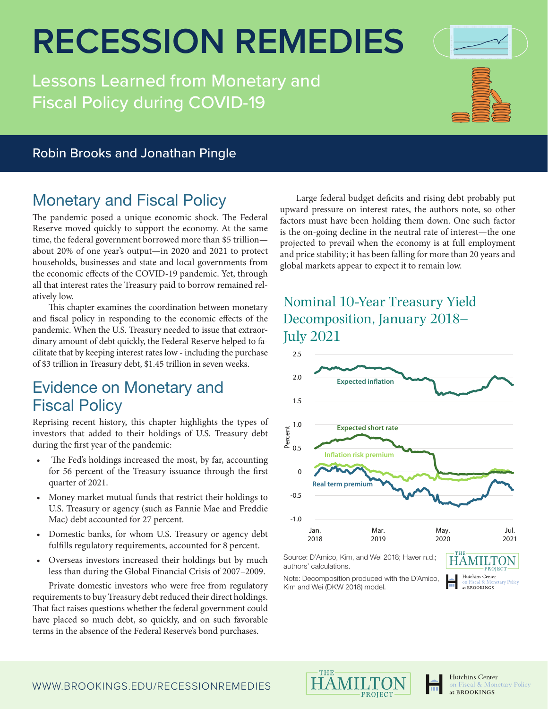# **RECESSION REMEDIES**

Lessons Learned from Monetary and Fiscal Policy during COVID-19



#### Robin Brooks and Jonathan Pingle

### Monetary and Fiscal Policy

The pandemic posed a unique economic shock. The Federal Reserve moved quickly to support the economy. At the same time, the federal government borrowed more than \$5 trillion about 20% of one year's output—in 2020 and 2021 to protect households, businesses and state and local governments from the economic effects of the COVID-19 pandemic. Yet, through all that interest rates the Treasury paid to borrow remained relatively low.

This chapter examines the coordination between monetary and fiscal policy in responding to the economic effects of the pandemic. When the U.S. Treasury needed to issue that extraordinary amount of debt quickly, the Federal Reserve helped to facilitate that by keeping interest rates low - including the purchase of \$3 trillion in Treasury debt, \$1.45 trillion in seven weeks.

### Evidence on Monetary and Fiscal Policy

Reprising recent history, this chapter highlights the types of investors that added to their holdings of U.S. Treasury debt during the first year of the pandemic:

- The Fed's holdings increased the most, by far, accounting for 56 percent of the Treasury issuance through the first quarter of 2021.
- Money market mutual funds that restrict their holdings to U.S. Treasury or agency (such as Fannie Mae and Freddie Mac) debt accounted for 27 percent.
- Domestic banks, for whom U.S. Treasury or agency debt fulfills regulatory requirements, accounted for 8 percent.
- Overseas investors increased their holdings but by much less than during the Global Financial Crisis of 2007–2009.

Private domestic investors who were free from regulatory requirements to buy Treasury debt reduced their direct holdings. That fact raises questions whether the federal government could have placed so much debt, so quickly, and on such favorable terms in the absence of the Federal Reserve's bond purchases.

Large federal budget deficits and rising debt probably put upward pressure on interest rates, the authors note, so other factors must have been holding them down. One such factor is the on-going decline in the neutral rate of interest—the one projected to prevail when the economy is at full employment and price stability; it has been falling for more than 20 years and global markets appear to expect it to remain low.

#### Nominal 10-Year Treasury Yield Decomposition, January 2018– July 2021



Note: Decomposition produced with the D'Amico, Kim and Wei (DKW 2018) model.







Hutchins Center at BROOKINGS